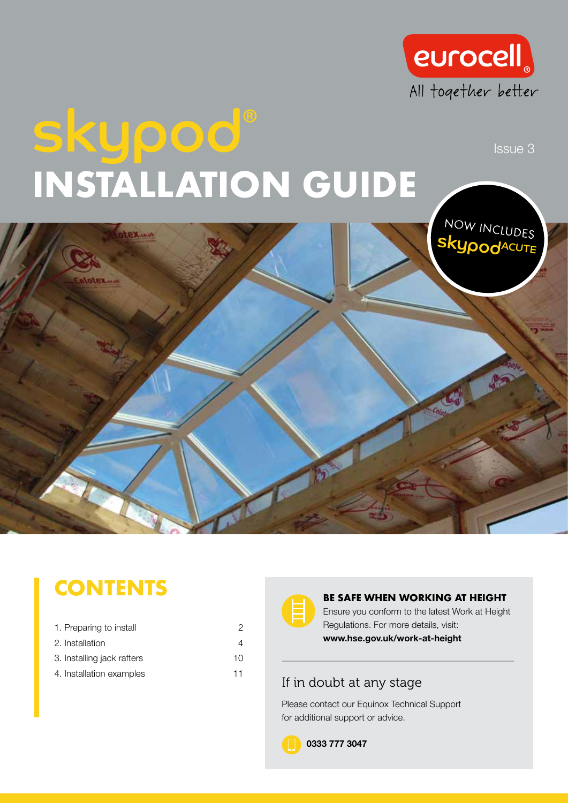

# skypod<sup>®</sup> INSTALLATION GUIDE



### **CONTENTS**

| 1. Preparing to install    | 2  |
|----------------------------|----|
| 2. Installation            | 4  |
| 3. Installing jack rafters | 10 |
| 4. Installation examples   | 11 |



#### BE SAFE WHEN WORKING AT HEIGHT

Ensure you conform to the latest Work at Height Regulations. For more details, visit: www.hse.gov.uk/work-at-height

#### If in doubt at any stage

Please contact our Equinox Technical Support for additional support or advice.

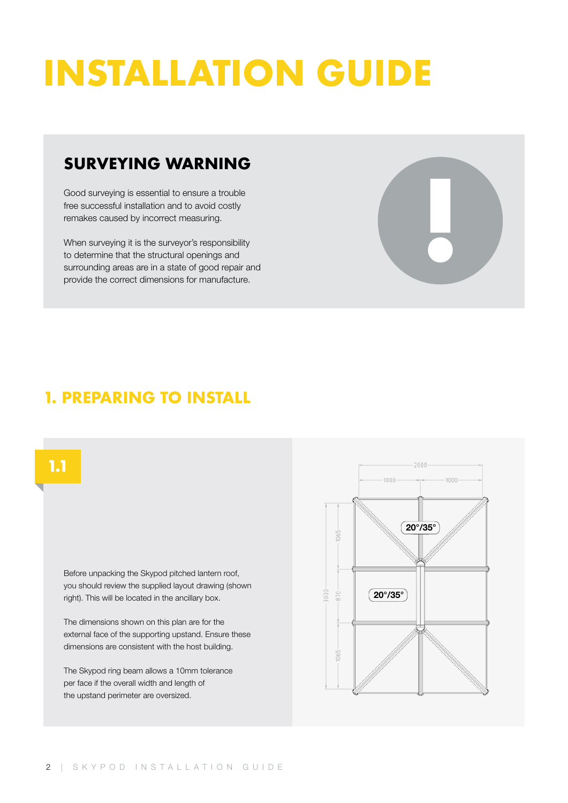## INSTALLATION GUIDE

#### SURVEYING WARNING

Good surveying is essential to ensure a trouble free successful installation and to avoid costly remakes caused by incorrect measuring.

When surveying it is the surveyor's responsibility to determine that the structural openings and surrounding areas are in a state of good repair and provide the correct dimensions for manufacture.



#### 1. PREPARING TO INSTALL

#### 1.1

Before unpacking the Skypod pitched lantern roof, you should review the supplied layout drawing (shown right). This will be located in the ancillary box.

The dimensions shown on this plan are for the external face of the supporting upstand. Ensure these dimensions are consistent with the host building.

The Skypod ring beam allows a 10mm tolerance per face if the overall width and length of the upstand perimeter are oversized.

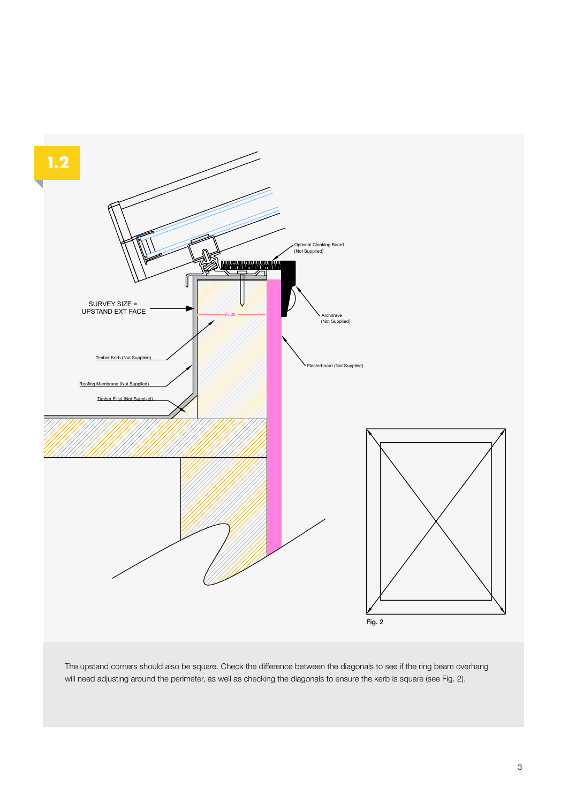

The upstand corners should also be square. Check the difference between the diagonals to see if the ring beam overhang will need adjusting around the perimeter, as well as checking the diagonals to ensure the kerb is square (see Fig. 2).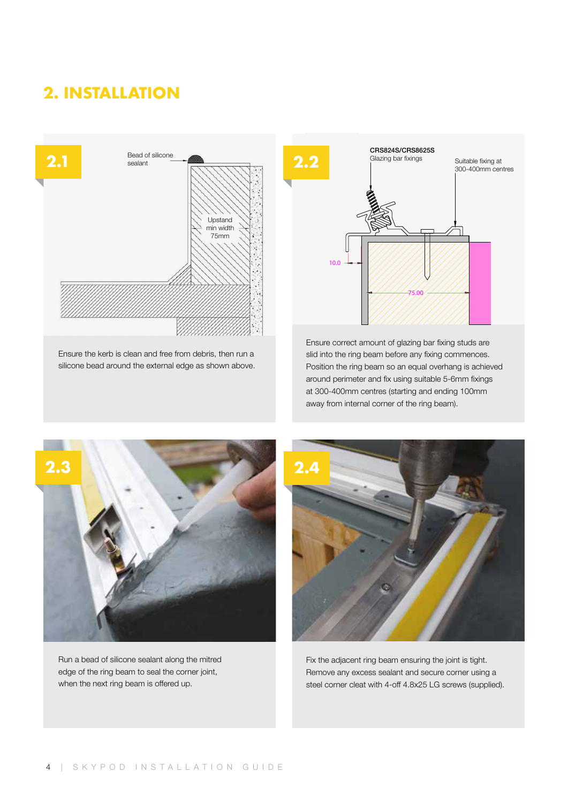#### 2. INSTALLATION



Ensure the kerb is clean and free from debris, then run a silicone bead around the external edge as shown above.



Ensure correct amount of glazing bar fixing studs are slid into the ring beam before any fixing commences. Position the ring beam so an equal overhang is achieved around perimeter and fix using suitable 5-6mm fixings at 300-400mm centres (starting and ending 100mm away from internal corner of the ring beam).



Run a bead of silicone sealant along the mitred edge of the ring beam to seal the corner joint, when the next ring beam is offered up.



Fix the adjacent ring beam ensuring the joint is tight. Remove any excess sealant and secure corner using a steel corner cleat with 4-off 4.8x25 LG screws (supplied).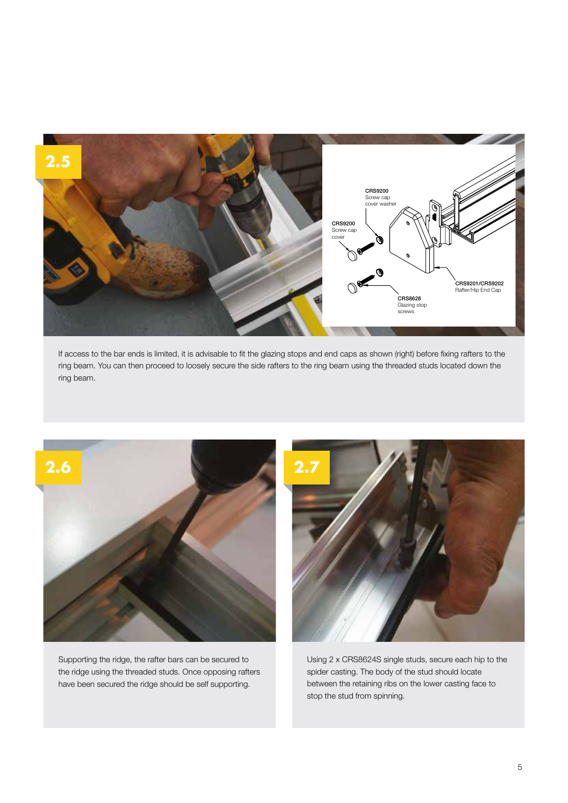

If access to the bar ends is limited, it is advisable to fit the glazing stops and end caps as shown (right) before fixing rafters to the ring beam. You can then proceed to loosely secure the side rafters to the ring beam using the threaded studs located down the ring beam.



Supporting the ridge, the rafter bars can be secured to the ridge using the threaded studs. Once opposing rafters have been secured the ridge should be self supporting.



Using 2 x CRS8624S single studs, secure each hip to the spider casting. The body of the stud should locate between the retaining ribs on the lower casting face to stop the stud from spinning.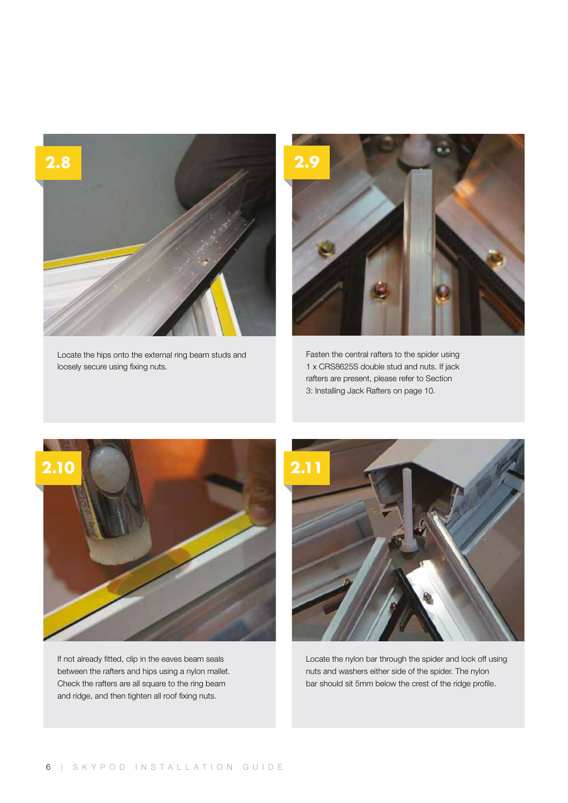

Locate the hips onto the external ring beam studs and loosely secure using fixing nuts.



Fasten the central rafters to the spider using 1 x CRS8625S double stud and nuts. If jack rafters are present, please refer to Section 3: Installing Jack Rafters on page 10.



If not already fitted, clip in the eaves beam seals between the rafters and hips using a nylon mallet. Check the rafters are all square to the ring beam and ridge, and then tighten all roof fixing nuts.



Locate the nylon bar through the spider and lock off using nuts and washers either side of the spider. The nylon bar should sit 5mm below the crest of the ridge profile.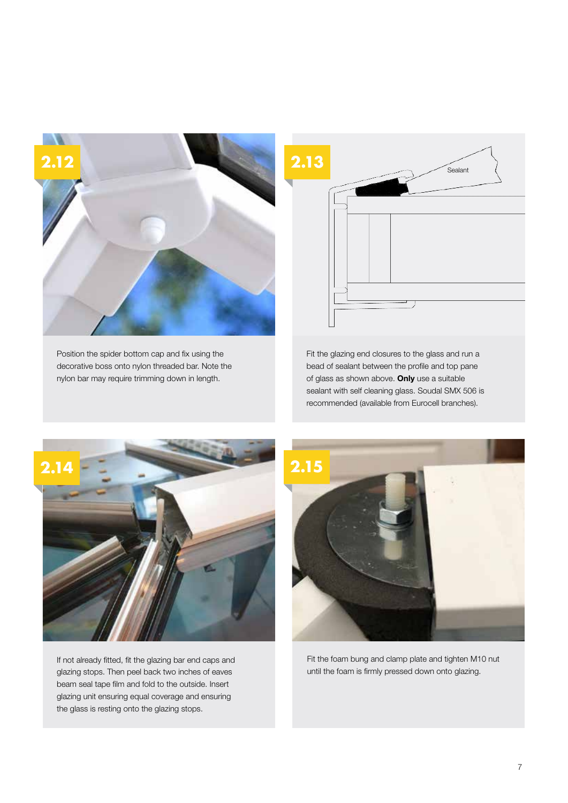

Position the spider bottom cap and fix using the decorative boss onto nylon threaded bar. Note the nylon bar may require trimming down in length.



Fit the glazing end closures to the glass and run a bead of sealant between the profile and top pane of glass as shown above. Only use a suitable sealant with self cleaning glass. Soudal SMX 506 is recommended (available from Eurocell branches).



If not already fitted, fit the glazing bar end caps and glazing stops. Then peel back two inches of eaves beam seal tape film and fold to the outside. Insert glazing unit ensuring equal coverage and ensuring the glass is resting onto the glazing stops.



Fit the foam bung and clamp plate and tighten M10 nut until the foam is firmly pressed down onto glazing.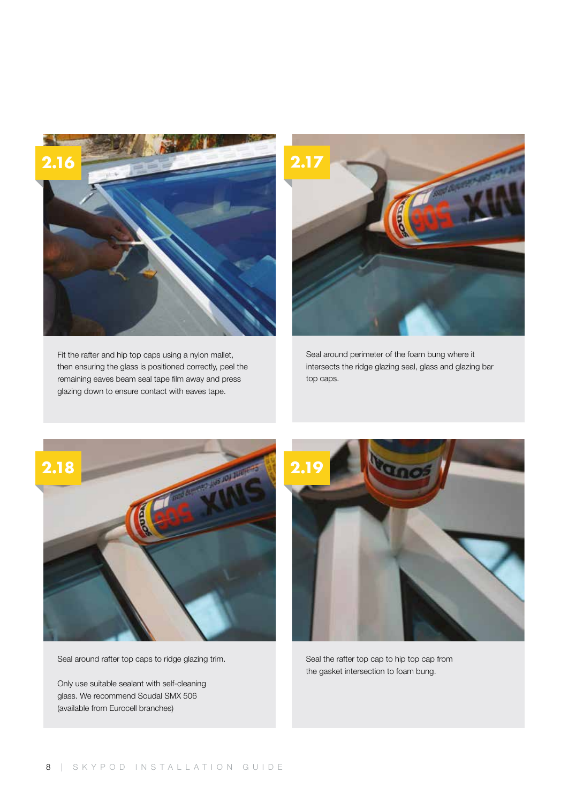

Fit the rafter and hip top caps using a nylon mallet, then ensuring the glass is positioned correctly, peel the remaining eaves beam seal tape film away and press glazing down to ensure contact with eaves tape.



Seal around perimeter of the foam bung where it intersects the ridge glazing seal, glass and glazing bar top caps.



Seal around rafter top caps to ridge glazing trim.

Only use suitable sealant with self-cleaning glass. We recommend Soudal SMX 506 (available from Eurocell branches)



Seal the rafter top cap to hip top cap from the gasket intersection to foam bung.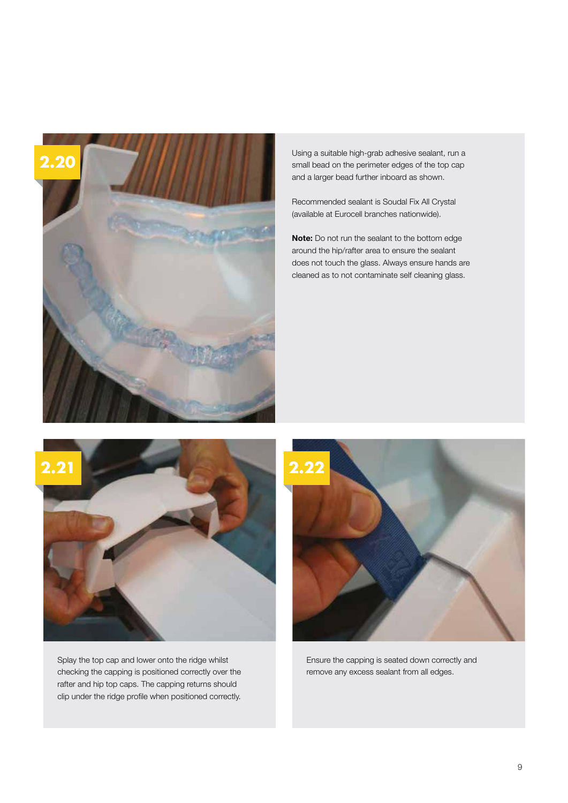

Using a suitable high-grab adhesive sealant, run a small bead on the perimeter edges of the top cap and a larger bead further inboard as shown.

Recommended sealant is Soudal Fix All Crystal (available at Eurocell branches nationwide).

Note: Do not run the sealant to the bottom edge around the hip/rafter area to ensure the sealant does not touch the glass. Always ensure hands are cleaned as to not contaminate self cleaning glass.



Splay the top cap and lower onto the ridge whilst checking the capping is positioned correctly over the rafter and hip top caps. The capping returns should clip under the ridge profile when positioned correctly.



Ensure the capping is seated down correctly and remove any excess sealant from all edges.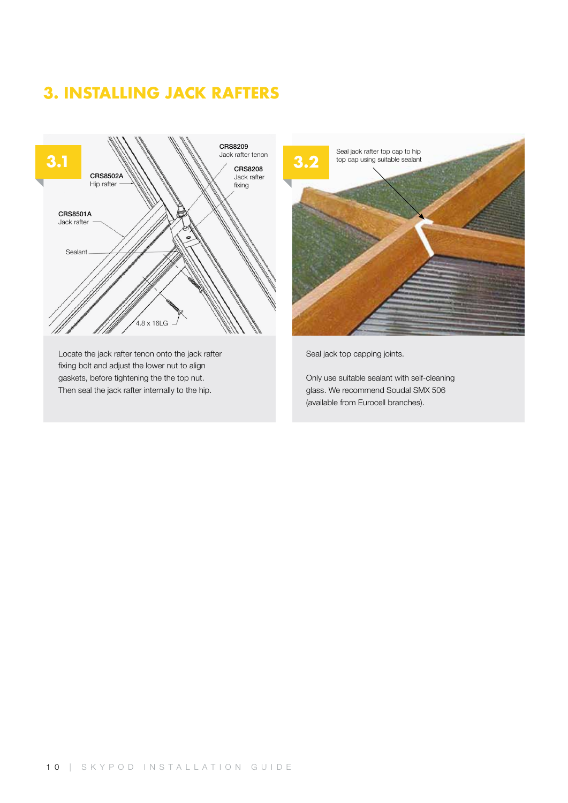#### 3. INSTALLING JACK RAFTERS



Locate the jack rafter tenon onto the jack rafter fixing bolt and adjust the lower nut to align gaskets, before tightening the the top nut. Then seal the jack rafter internally to the hip.



Seal jack top capping joints.

Only use suitable sealant with self-cleaning glass. We recommend Soudal SMX 506 (available from Eurocell branches).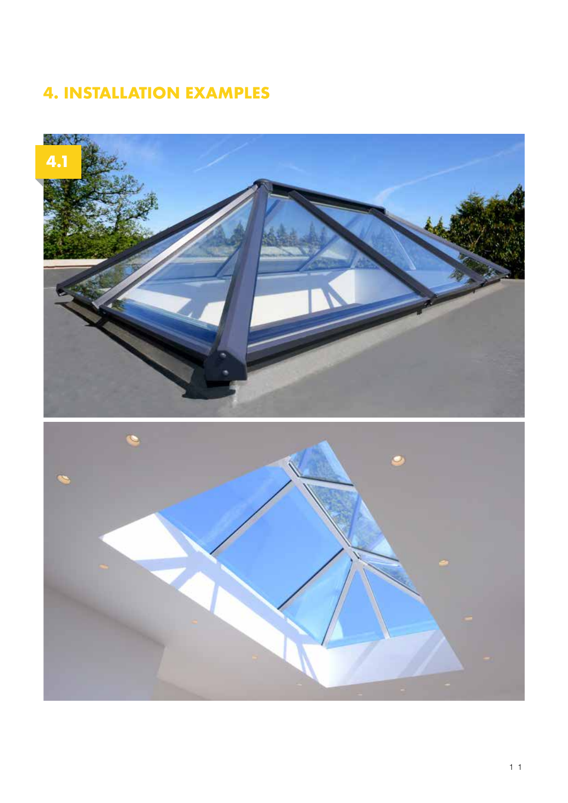#### 4. INSTALLATION EXAMPLES